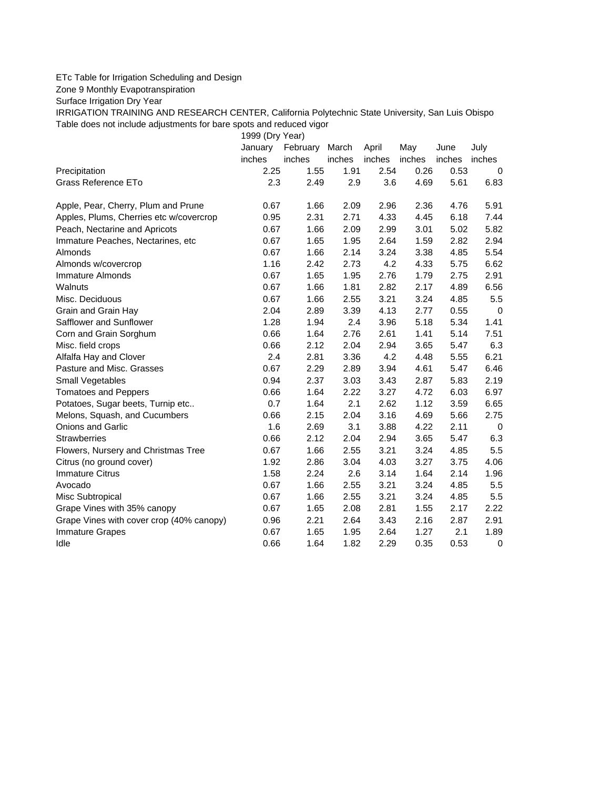## ETc Table for Irrigation Scheduling and Design

Zone 9 Monthly Evapotranspiration

Surface Irrigation Dry Year

IRRIGATION TRAINING AND RESEARCH CENTER, California Polytechnic State University, San Luis Obispo Table does not include adjustments for bare spots and reduced vigor

1999 (Dry Year)

|                                          | January | February | March  | April  | May    | June   | July        |
|------------------------------------------|---------|----------|--------|--------|--------|--------|-------------|
|                                          | inches  | inches   | inches | inches | inches | inches | inches      |
| Precipitation                            | 2.25    | 1.55     | 1.91   | 2.54   | 0.26   | 0.53   | 0           |
| Grass Reference ETo                      | 2.3     | 2.49     | 2.9    | 3.6    | 4.69   | 5.61   | 6.83        |
| Apple, Pear, Cherry, Plum and Prune      | 0.67    | 1.66     | 2.09   | 2.96   | 2.36   | 4.76   | 5.91        |
| Apples, Plums, Cherries etc w/covercrop  | 0.95    | 2.31     | 2.71   | 4.33   | 4.45   | 6.18   | 7.44        |
| Peach, Nectarine and Apricots            | 0.67    | 1.66     | 2.09   | 2.99   | 3.01   | 5.02   | 5.82        |
| Immature Peaches, Nectarines, etc        | 0.67    | 1.65     | 1.95   | 2.64   | 1.59   | 2.82   | 2.94        |
| Almonds                                  | 0.67    | 1.66     | 2.14   | 3.24   | 3.38   | 4.85   | 5.54        |
| Almonds w/covercrop                      | 1.16    | 2.42     | 2.73   | 4.2    | 4.33   | 5.75   | 6.62        |
| <b>Immature Almonds</b>                  | 0.67    | 1.65     | 1.95   | 2.76   | 1.79   | 2.75   | 2.91        |
| Walnuts                                  | 0.67    | 1.66     | 1.81   | 2.82   | 2.17   | 4.89   | 6.56        |
| Misc. Deciduous                          | 0.67    | 1.66     | 2.55   | 3.21   | 3.24   | 4.85   | 5.5         |
| Grain and Grain Hay                      | 2.04    | 2.89     | 3.39   | 4.13   | 2.77   | 0.55   | $\mathbf 0$ |
| Safflower and Sunflower                  | 1.28    | 1.94     | 2.4    | 3.96   | 5.18   | 5.34   | 1.41        |
| Corn and Grain Sorghum                   | 0.66    | 1.64     | 2.76   | 2.61   | 1.41   | 5.14   | 7.51        |
| Misc. field crops                        | 0.66    | 2.12     | 2.04   | 2.94   | 3.65   | 5.47   | 6.3         |
| Alfalfa Hay and Clover                   | 2.4     | 2.81     | 3.36   | 4.2    | 4.48   | 5.55   | 6.21        |
| Pasture and Misc. Grasses                | 0.67    | 2.29     | 2.89   | 3.94   | 4.61   | 5.47   | 6.46        |
| Small Vegetables                         | 0.94    | 2.37     | 3.03   | 3.43   | 2.87   | 5.83   | 2.19        |
| <b>Tomatoes and Peppers</b>              | 0.66    | 1.64     | 2.22   | 3.27   | 4.72   | 6.03   | 6.97        |
| Potatoes, Sugar beets, Turnip etc        | 0.7     | 1.64     | 2.1    | 2.62   | 1.12   | 3.59   | 6.65        |
| Melons, Squash, and Cucumbers            | 0.66    | 2.15     | 2.04   | 3.16   | 4.69   | 5.66   | 2.75        |
| Onions and Garlic                        | 1.6     | 2.69     | 3.1    | 3.88   | 4.22   | 2.11   | 0           |
| <b>Strawberries</b>                      | 0.66    | 2.12     | 2.04   | 2.94   | 3.65   | 5.47   | 6.3         |
| Flowers, Nursery and Christmas Tree      | 0.67    | 1.66     | 2.55   | 3.21   | 3.24   | 4.85   | 5.5         |
| Citrus (no ground cover)                 | 1.92    | 2.86     | 3.04   | 4.03   | 3.27   | 3.75   | 4.06        |
| <b>Immature Citrus</b>                   | 1.58    | 2.24     | 2.6    | 3.14   | 1.64   | 2.14   | 1.96        |
| Avocado                                  | 0.67    | 1.66     | 2.55   | 3.21   | 3.24   | 4.85   | 5.5         |
| Misc Subtropical                         | 0.67    | 1.66     | 2.55   | 3.21   | 3.24   | 4.85   | 5.5         |
| Grape Vines with 35% canopy              | 0.67    | 1.65     | 2.08   | 2.81   | 1.55   | 2.17   | 2.22        |
| Grape Vines with cover crop (40% canopy) | 0.96    | 2.21     | 2.64   | 3.43   | 2.16   | 2.87   | 2.91        |
| <b>Immature Grapes</b>                   | 0.67    | 1.65     | 1.95   | 2.64   | 1.27   | 2.1    | 1.89        |
| Idle                                     | 0.66    | 1.64     | 1.82   | 2.29   | 0.35   | 0.53   | $\mathbf 0$ |